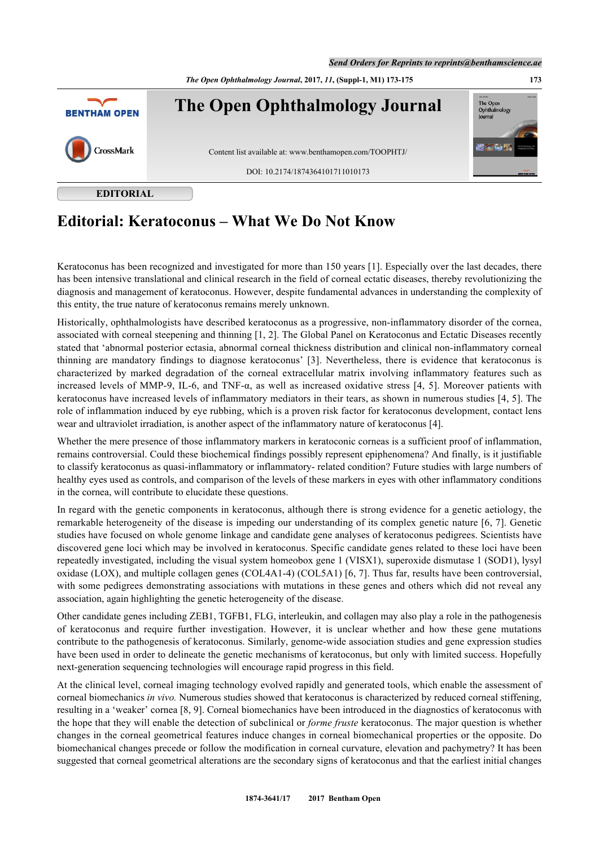*Send Orders for Reprints to reprints@benthamscience.ae*



**EDITORIAL**

# **Editorial: Keratoconus – What We Do Not Know**

Keratoconus has been recognized and investigated for more than 150 years [\[1](#page-1-0)]. Especially over the last decades, there has been intensive translational and clinical research in the field of corneal ectatic diseases, thereby revolutionizing the diagnosis and management of keratoconus. However, despite fundamental advances in understanding the complexity of this entity, the true nature of keratoconus remains merely unknown.

Historically, ophthalmologists have described keratoconus as a progressive, non-inflammatory disorder of the cornea, associated with corneal steepening and thinning [[1,](#page-1-0) [2\]](#page-1-1). The Global Panel on Keratoconus and Ectatic Diseases recently stated that 'abnormal posterior ectasia, abnormal corneal thickness distribution and clinical non-inflammatory corneal thinning are mandatory findings to diagnose keratoconus'[[3](#page-1-2)]. Nevertheless, there is evidence that keratoconus is characterized by marked degradation of the corneal extracellular matrix involving inflammatory features such as increased levels of MMP-9, IL-6, and TNF- $\alpha$ , as well as increased oxidative stress [[4,](#page-1-3) [5](#page-1-4)]. Moreover patients with keratoconus have increased levels of inflammatory mediators in their tears, as shown in numerous studies [\[4](#page-1-3), [5\]](#page-1-4). The role of inflammation induced by eye rubbing, which is a proven risk factor for keratoconus development, contact lens wear and ultraviolet irradiation, is another aspect of the inflammatory nature of keratoconus [[4\]](#page-1-3).

Whether the mere presence of those inflammatory markers in keratoconic corneas is a sufficient proof of inflammation, remains controversial. Could these biochemical findings possibly represent epiphenomena? And finally, is it justifiable to classify keratoconus as quasi-inflammatory or inflammatory- related condition? Future studies with large numbers of healthy eyes used as controls, and comparison of the levels of these markers in eyes with other inflammatory conditions in the cornea, will contribute to elucidate these questions.

In regard with the genetic components in keratoconus, although there is strong evidence for a genetic aetiology, the remarkable heterogeneity of the disease is impeding our understanding of its complex genetic nature [[6,](#page-1-5) [7\]](#page-1-6). Genetic studies have focused on whole genome linkage and candidate gene analyses of keratoconus pedigrees. Scientists have discovered gene loci which may be involved in keratoconus. Specific candidate genes related to these loci have been repeatedly investigated, including the visual system homeobox gene 1 (VISX1), superoxide dismutase 1 (SOD1), lysyl oxidase (LOX), and multiple collagen genes (COL4A1-4) (COL5A1) [\[6](#page-1-5), [7\]](#page-1-6). Thus far, results have been controversial, with some pedigrees demonstrating associations with mutations in these genes and others which did not reveal any association, again highlighting the genetic heterogeneity of the disease.

Other candidate genes including ZEB1, TGFB1, FLG, interleukin, and collagen may also play a role in the pathogenesis of keratoconus and require further investigation. However, it is unclear whether and how these gene mutations contribute to the pathogenesis of keratoconus. Similarly, genome-wide association studies and gene expression studies have been used in order to delineate the genetic mechanisms of keratoconus, but only with limited success. Hopefully next-generation sequencing technologies will encourage rapid progress in this field.

At the clinical level, corneal imaging technology evolved rapidly and generated tools, which enable the assessment of corneal biomechanics *in vivo.* Numerous studies showed that keratoconus is characterized by reduced corneal stiffening, resulting in a 'weaker' cornea [\[8](#page-1-7), [9](#page-1-8)]. Corneal biomechanics have been introduced in the diagnostics of keratoconus with the hope that they will enable the detection of subclinical or *forme fruste* keratoconus. The major question is whether changes in the corneal geometrical features induce changes in corneal biomechanical properties or the opposite. Do biomechanical changes precede or follow the modification in corneal curvature, elevation and pachymetry? It has been suggested that corneal geometrical alterations are the secondary signs of keratoconus and that the earliest initial changes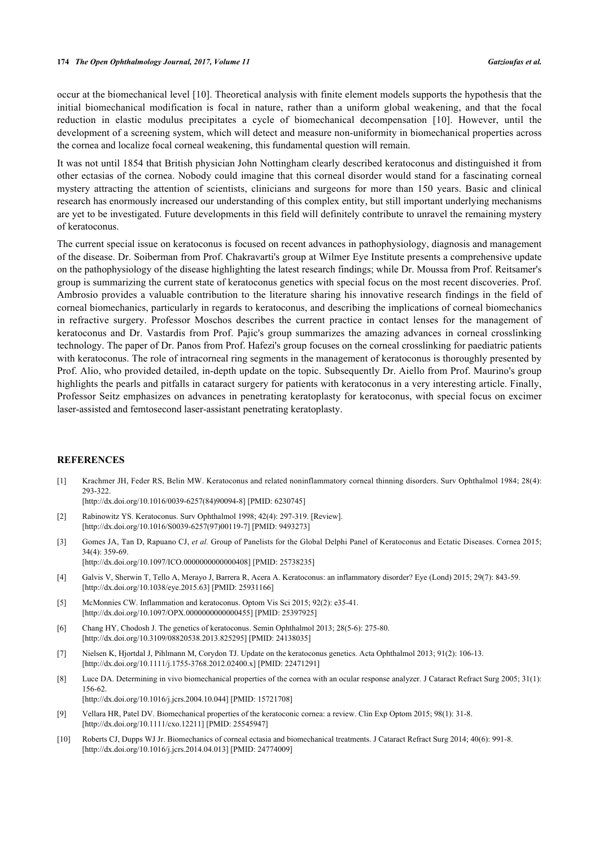occur at the biomechanical level [[10](#page-1-9)]. Theoretical analysis with finite element models supports the hypothesis that the initial biomechanical modification is focal in nature, rather than a uniform global weakening, and that the focal reduction in elastic modulus precipitates a cycle of biomechanical decompensation[[10](#page-1-9)]. However, until the development of a screening system, which will detect and measure non-uniformity in biomechanical properties across the cornea and localize focal corneal weakening, this fundamental question will remain.

It was not until 1854 that British physician John Nottingham clearly described keratoconus and distinguished it from other ectasias of the cornea. Nobody could imagine that this corneal disorder would stand for a fascinating corneal mystery attracting the attention of scientists, clinicians and surgeons for more than 150 years. Basic and clinical research has enormously increased our understanding of this complex entity, but still important underlying mechanisms are yet to be investigated. Future developments in this field will definitely contribute to unravel the remaining mystery of keratoconus.

The current special issue on keratoconus is focused on recent advances in pathophysiology, diagnosis and management of the disease. Dr. Soiberman from Prof. Chakravarti's group at Wilmer Eye Institute presents a comprehensive update on the pathophysiology of the disease highlighting the latest research findings; while Dr. Moussa from Prof. Reitsamer's group is summarizing the current state of keratoconus genetics with special focus on the most recent discoveries. Prof. Ambrosio provides a valuable contribution to the literature sharing his innovative research findings in the field of corneal biomechanics, particularly in regards to keratoconus, and describing the implications of corneal biomechanics in refractive surgery. Professor Moschos describes the current practice in contact lenses for the management of keratoconus and Dr. Vastardis from Prof. Pajic's group summarizes the amazing advances in corneal crosslinking technology. The paper of Dr. Panos from Prof. Hafezi's group focuses on the corneal crosslinking for paediatric patients with keratoconus. The role of intracorneal ring segments in the management of keratoconus is thoroughly presented by Prof. Alio, who provided detailed, in-depth update on the topic. Subsequently Dr. Aiello from Prof. Maurino's group highlights the pearls and pitfalls in cataract surgery for patients with keratoconus in a very interesting article. Finally, Professor Seitz emphasizes on advances in penetrating keratoplasty for keratoconus, with special focus on excimer laser-assisted and femtosecond laser-assistant penetrating keratoplasty.

## **REFERENCES**

<span id="page-1-0"></span>[1] Krachmer JH, Feder RS, Belin MW. Keratoconus and related noninflammatory corneal thinning disorders. Surv Ophthalmol 1984; 28(4): 293-322.

[\[http://dx.doi.org/10.1016/0039-6257\(84\)90094-8](http://dx.doi.org/10.1016/0039-6257(84)90094-8)] [PMID: [6230745](http://www.ncbi.nlm.nih.gov/pubmed/6230745)]

- <span id="page-1-1"></span>[2] Rabinowitz YS. Keratoconus. Surv Ophthalmol 1998; 42(4): 297-319. [Review]. [\[http://dx.doi.org/10.1016/S0039-6257\(97\)00119-7\]](http://dx.doi.org/10.1016/S0039-6257(97)00119-7) [PMID: [9493273](http://www.ncbi.nlm.nih.gov/pubmed/9493273)]
- <span id="page-1-2"></span>[3] Gomes JA, Tan D, Rapuano CJ, *et al.* Group of Panelists for the Global Delphi Panel of Keratoconus and Ectatic Diseases. Cornea 2015; 34(4): 359-69. [\[http://dx.doi.org/10.1097/ICO.0000000000000408\]](http://dx.doi.org/10.1097/ICO.0000000000000408) [PMID: [25738235](http://www.ncbi.nlm.nih.gov/pubmed/25738235)]
- <span id="page-1-3"></span>[4] Galvis V, Sherwin T, Tello A, Merayo J, Barrera R, Acera A. Keratoconus: an inflammatory disorder? Eye (Lond) 2015; 29(7): 843-59. [\[http://dx.doi.org/10.1038/eye.2015.63\]](http://dx.doi.org/10.1038/eye.2015.63) [PMID: [25931166](http://www.ncbi.nlm.nih.gov/pubmed/25931166)]
- <span id="page-1-4"></span>[5] McMonnies CW. Inflammation and keratoconus. Optom Vis Sci 2015; 92(2): e35-41. [\[http://dx.doi.org/10.1097/OPX.0000000000000455\]](http://dx.doi.org/10.1097/OPX.0000000000000455) [PMID: [25397925](http://www.ncbi.nlm.nih.gov/pubmed/25397925)]
- <span id="page-1-5"></span>[6] Chang HY, Chodosh J. The genetics of keratoconus. Semin Ophthalmol 2013; 28(5-6): 275-80. [\[http://dx.doi.org/10.3109/08820538.2013.825295\]](http://dx.doi.org/10.3109/08820538.2013.825295) [PMID: [24138035](http://www.ncbi.nlm.nih.gov/pubmed/24138035)]
- <span id="page-1-6"></span>[7] Nielsen K, Hjortdal J, Pihlmann M, Corydon TJ. Update on the keratoconus genetics. Acta Ophthalmol 2013; 91(2): 106-13. [\[http://dx.doi.org/10.1111/j.1755-3768.2012.02400.x\]](http://dx.doi.org/10.1111/j.1755-3768.2012.02400.x) [PMID: [22471291](http://www.ncbi.nlm.nih.gov/pubmed/22471291)]
- <span id="page-1-7"></span>[8] Luce DA. Determining in vivo biomechanical properties of the cornea with an ocular response analyzer. J Cataract Refract Surg 2005; 31(1): 156-62. [\[http://dx.doi.org/10.1016/j.jcrs.2004.10.044\]](http://dx.doi.org/10.1016/j.jcrs.2004.10.044) [PMID: [15721708](http://www.ncbi.nlm.nih.gov/pubmed/15721708)]
- <span id="page-1-8"></span>[9] Vellara HR, Patel DV. Biomechanical properties of the keratoconic cornea: a review. Clin Exp Optom 2015; 98(1): 31-8. [\[http://dx.doi.org/10.1111/cxo.12211](http://dx.doi.org/10.1111/cxo.12211)] [PMID: [25545947\]](http://www.ncbi.nlm.nih.gov/pubmed/25545947)
- <span id="page-1-9"></span>[10] Roberts CJ, Dupps WJ Jr. Biomechanics of corneal ectasia and biomechanical treatments. J Cataract Refract Surg 2014; 40(6): 991-8. [\[http://dx.doi.org/10.1016/j.jcrs.2014.04.013\]](http://dx.doi.org/10.1016/j.jcrs.2014.04.013) [PMID: [24774009](http://www.ncbi.nlm.nih.gov/pubmed/24774009)]